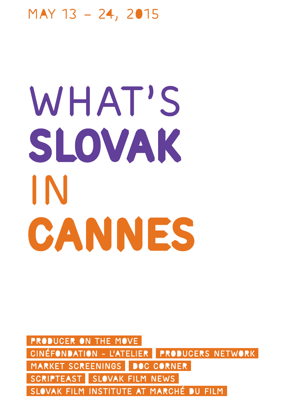### May 13 – 24, 2015

# WHAT'S slovak in CANNES

PRODUCER ON THE MOVE CINÉFONDATION - L'ATELIER PRODUCERS NETWORK MARKET SCREENINGS DOC CORNER SCRIPTEAST SLOVAK FILM NEWS SLOVAK FILM INSTITUTE AT MARCHÉ DU FILM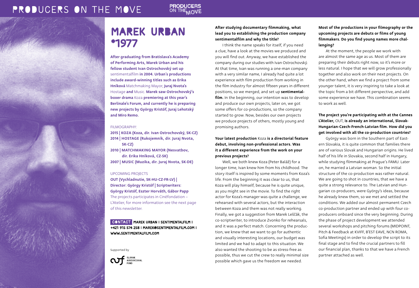#### **PRODUCERS** ON THE MOVE

### MAREK URBAN \*1977

After graduating from Bratislava's Academy of Performing Arts, Marek Urban and his fellow student Ivan Ostrochovský set up sentimentalfilm in 2004. Urban´s productions include award-winning titles such as Erika Hníková Matchmaking Mayor, Juraj Nvota's Hostage and Music. Marek saw Ostrochovský's boxer drama Koza premiering at this year's Berlinale's Forum, and currently he is preparing new projects by György Kristóf, Juraj Lehotský and Miro Remo.

#### FILMOGRAPHY:

2015 | Koza (Koza, dir. Ivan Ostrochovský, SK-CZ) 2014 | Hostage (Rukojemník, dir. Juraj Nvota, SK-CZ) 2010 | Matchmaking Mayor (Nesvatbov, dir. Erika Hníková, CZ-SK) 2007 | Music (Muzika, dir. Juraj Nvota, SK-DE)

#### UPCOMING PROJECTS

OUT (Vychladnutie, SK-HU-CZ-FR-LV) | Director: György Kristóf | Scriptwriters: György Kristóf, Eszter Horváth, Gábor Papp The projects participates in Cinéfondation – L´Atelier, for more information see the next page of this newsletter.

### CONTACT MAREK URBAN I SENTIMENTALFILM I +421 915 574 258 | marek@sentimentalfilm.com | www.sentimentalfilm.com

Supported by



### After studying documentary filmmaking, what lead you to establishing the production company sentimentalfilm and why the title?

I think the name speaks for itself, if you need a clue, have a look at the movies we produced and you will find out. Anyway, we have established the company during our studies with Ivan Ostrochovský. At that time, Ivan was running a one-man company with a very similar name, I already had quite a lot experience with film production from working in the film industry for almost fifteen years in different positions, so we merged, and set up sentimentalfilm. In the beginning, our intention was to develop and produce our own projects, later on, we got some offers for co-productions, so the company started to grow. Now, besides our own projects we produce projects of others, mostly young and promising authors.

Your latest production Koza is a directorial feature debut, involving non-professional actors. Was it a different experience from the work on your previous projects?

Well, we both knew Koza (Peter Baláž) for a longer time, Ivan knew him from his childhood. The story itself is inspired by some moments from Koza's life. From the beginning it was clear to us, that Koza will play himself, because he is quite unique, as you might see in the movie. To find the right actor for Koza's manager was quite a challenge, we rehearsed with several actors, but the interaction between Koza and them was not really working. Finally, we got a suggestion from Marek Leščák, the co-scriptwriter, to introduce Zvonko for rehearsals, and it was a perfect match. Concerning the production, we knew that we want to go for authentic and visually interesting locations, our budget was limited and we had to adapt to this situation. We also wanted the shooting to be as stress-free as possible, thus we cut the crew to really minimal size possible which gave us the freedom we needed.

Most of the productions in your filmography or the upcoming projects are debuts or films of young filmmakers. Do you find young names more challenging?

At the moment, the people we work with are almost the same age as us. Most of them are preparing their debuts right now, so it's more or less natural. I hope that we will grow professionally together and also work on their next projects. On the other hand, when we find a project from some younger talent, it is very inspiring to take a look at the topic from a bit different perspective, and add some experience we have. This combination seems to work as well.

### The project you're participating with at the Cannes L'Atelier, OUT, is already an international, Slovak-Hungarian-Czech-French-Latvian film. How did you get involved with all the co-production countries?

György was born in the Southern part of Eastern Slovakia, it is quite common that families there are of various Slovak and Hungarian origins. He lived half of his life in Slovakia, second half in Hungary, while studying filmmaking at Prague´s FAMU. Later on, he married a Latvian woman. So the initial structure of the co-production was rather natural. We are going to shot in countries, that we have a quite a strong relevance to. The Latvian and Hungarian co-producers, were György's ideas, because he already knew them, so we met and settled the conditions. We added our almost permanent Czech co-production partner and ended up with four coproducers onboard since the very beginning. During the phase of project development we attended several workshops and pitching forums (MIDPOINT, Pitch & Feedback at KVIFF, B'EST EAVE, NCN ROMA, Sofia Meetings) in order to develop the script to its final stage and to find the crucial partners to fill our financial plan, thanks to that we have a French partner attached as well.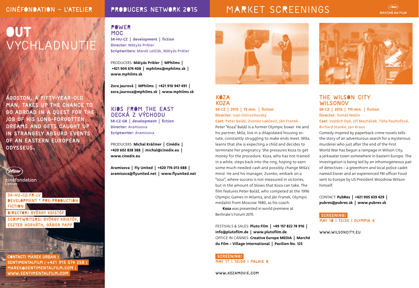### PRODUCERS NETWORK 2015

### CINÉFONDATION – L'ATELIER PRODUCERS NETWORK 2015 MARKET SCREENINGS

### **MARCHÉ DU FILM**

# **OUT** VYCHLADNUTI

Ágoston, a fifty-year-old man, takes up the chance to go abroad in a quest for the job of his long-forgotten dreams and gets caught up in strangely absurd events of an Eastern European Odysseus.



cinéfondation

 SK-HU-CZ-FR-LV development \* pre-production **FICTION** Director: György Kristóf Scriptwriters: György Kristóf, Eszter Horváth, Gábor Papp

 Contact: Marek Urban | sentimentalfilm | +421 915 574 258 | marek@sentimentalfilm.com | www.sentimentalfilm.com

Power MOC SK-HU-CZ | development | fiction Director: Mátyás Prikler

Scriptwriters: Marek Leščák, Mátyás Prikler

PRODUCERS: Mátyás Prikler | MPhilms | +421 904 674 408 | mphilms@mphilms.sk | www.mphilms.sk

Zora Jaurová | MPhilms | +421 910 947 491 | zora.jaurova@mphilms.sk | www.mphilms.sk

### KIDS FROM THE EAST Decká z východu SK-CZ-GR | development | fiction

Director: Aramisova Scriptwriter: Aramisova

PRODUCERS: Michal Kráčmer | Cinédix +420 602 838 388 | michal@cinedix.eu | www.cinedix.eu

Aramisova | Fly United | +420 776 013 688 | aramisova@flyunited.net | www.flyunited.net



### KOZA **KOZA** SK-CZ | 2015 | 75 min. | fiction

Director: Ivan Ostrochovský Cast: Peter Baláž, Zvonko Lakčević, Ján Franek

Peter "Koza" Baláž is a former Olympic boxer. He and his partner, Miša, live in a dilapidated housing estate, constantly struggling to make ends meet. Miša learns that she is expecting a child and decides to terminate her pregnancy. She pressures Koza to get money for the procedure. Koza, who has not trained in a while, steps back into the ring, hoping to earn some much-needed cash and possibly change Miša's mind. He and his manager, Zvonko, embark on a "tour", where success is not measured in victories, but in the amount of blows that Koza can take. The film features Peter Baláž, who competed at the 1996 Olympic Games in Atlanta, and Ján Franek, Olympic medalist from Moscow 1980, as his coach.

Koza was presented in world premiere at Berlinale´s Forum 2015.

Festivals & Sales: Pluto Film | +49 157 822 74 916 | info@plutofilm.de | www.plutofilm.de Office in Cannes: Creative Europe MEDIA | Marché du Film – Village International | Pavilion No. 123

SCREENING: MAY 17 | 10:00 | Palais B

www.kozamovie.com



### THE WILSON CITY **WILSONOV**

SK-CZ | 2015 | 115 min. | fiction Director: Tomáš Mašín Cast: Vojtěch Dyk, Jiří Macháček, Táňa Pauhofová, Richard Stanke, Jan Kraus

Comedy inspired by paperback crime novels tells the story of an adventurous search for a mysterious murderer who just after the end of the First World War has begun a rampage in Wilson City, a jerkwater town somewhere in Eastern Europe. The investigation is being led by an inhomogeneous pair of detectives – a greenhorn and local police cadet named Eisner and an experienced FBI officer Food sent to Europe by US President Woodrow Wilson himself.

CONTACT: PubRes | +421 905 639 429 | pubres@pubres.sk | www.pubres.sk

SCREENING: MAY 18 | 13:30 | Olympia 6

www.wilsoncity.eu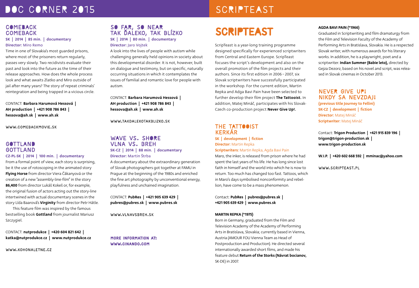### DOC CORNER 2015

Time in one of Slovakia's most guarded prisons, where most of the prisoners return regularly, passes very slowly. Two recidivists evaluate their past and look into the future as the time of their release approaches. How does the whole process look and what awaits Zlatko and Miro outside of jail after many years? The story of repeat criminals' reintegration and being trapped in a vicious circle.

SK | 2014 | 85 min. | documentary

**COMEBACK COMEBACK** 

Director: Miro Remo

### SCRIPTEAST

## SCRIPTEAST

ScripTeast is a year-long training programme designed specifically for experienced scriptwriters from Central and Eastern Europe. ScripTeast focuses the script´s development and also on the overall promotion of the film projects and their authors. Since its first edition in 2006 − 2007, six Slovak scriptwriters have successfully participated in the workshop. For the current edition, Martin Repka and Adga Bavi Pain have been selected to further develop their film project The Tattooist. In addition, Matej Mináč, participates with his Slovak-Czech co-production project Never Give Up!.

### THE TATTOOIST Kerkár SK | development | fiction Director: Martin Repka

**Scriptwriters:** Martin Repka, Agda Bavi Pain

Maro, the inker, is released from prison where he had spent the last years of his life. He has long since lost faith in himself and the world into which he is now to return. Too much has changed too fast. Tattoos, which in Maro's days symbolised nonconformity and rebellion, have come to be a mass phenomenon.

Contact: PubRes | pubres@pubres.sk | +421 905 639 429 | www.pubres.sk

#### MARTIN REPKA (\*1975)

Born in Germany, graduated from the Film and Television Academy of the Academy of Performing Arts in Bratislava, Slovakia; currently based in Vienna, Austria (AMOUR FOU Vienna Team as Head of Postproduction and Production). He directed several internationally awarded short films, and made his feature debut Return of the Storks (Návrat bocianov, SK-DE) in 2007.

#### AGDA BAVI PAIN (\*1966)

Graduated in Scriptwriting and film dramaturgy from the Film and Television Faculty of the Academy of Performing Arts in Bratislava, Slovakia. He is a respected Slovak writer, with numerous awards for his literary works. In addition, he is a playwright, poet and a scriptwriter. Indian Summer (Babie leto), directed by Gejza Dezorz, based on his novel and script, was released in Slovak cinemas in October 2013.

### NEVER GIVE UP!

Nikdy sa nevzdaj! (previous title Journey to Fellini) SK-CZ | development | fiction Director: Matej Mináč Scriptwriter: Matej Mináč

Contact: Trigon Production | +421 915 839 196 | trigon@trigon-production.sk | www.trigon-production.sk

W.I.P. | +420 602 668 592 | mminac@yahoo.com

www.scripteast.pl

### SO FAR, SO NEAR Tak ďaleko, tak blízko SK | 2014 | 80 min. | documentary Director: Jaro Vojtek

A look into the lives of people with autism while challenging generally held opinions in society about this developmental disorder. It is not, however, built on dialogue and testimony, but on specific, naturally occurring situations in which it contemplates the issues of familial and romantic love for people with autism.

CONTACT: Barbara Harumová Hessová | AH production | +421 908 786 843 | hessova@ah.sk | www.ah.sk

www.takdalekotakblizko.sk

### **GOTTLAND** GOTTLAND CZ-PL-SK | 2014 | 100 min. | documentary

CONTACT: Barbara Harumová Hessová | AH production | +421 908 786 843 | hessova@ah.sk | www.ah.sk

www.comebackmovie.sk

From a formal point of view, each story is surprising, be it the use of rotoscoping in the animated story Flying Horse from director Viera Čákanyová or the creation of a new "assembly-line-film" in the story 86,400 from director Lukáš Kokeš or, for example, the original fusion of actors acting out the story-line intertwined with actual documentary scenes in the story Lída Baarová's Virginity from director Petr Hátle.

This feature film was inspired by the famous bestselling book Gottland from journalist Mariusz Szczygiel.

CONTACT: nutprodukce | +420 604 821 642 | katka@nutprodukce.cz | www.nutprodukce.cz

www.kohonaletne.cz

### WAVE VS. SHORE vlna vs. breh SK-CZ | 2014 | 88 min. | documentary Director: Martin Štrba

CONTACT: PubRes | +421 905 639 429 | pubres@pubres.sk | www.pubres.sk

www.vlnavsbreh.sk

More information at: www.cinando.com

A documentary about the extraordinary generation of Slovak photographers got together at FAMU in Prague at the beginning of the 1980s and enriched the fine art photography by unconventional energy, playfulness and unchained imagination.